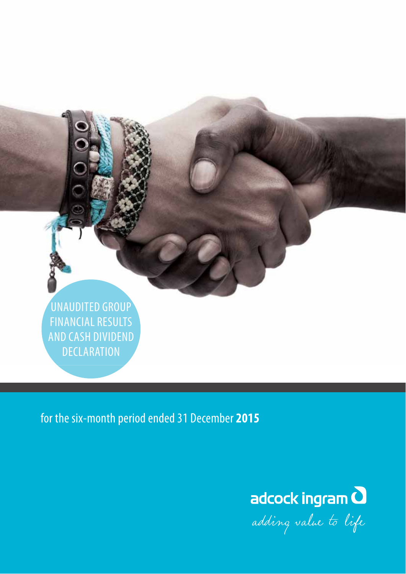UNAUDITED GROUP FINANCIAL RESULTS AND CASH DIVIDEND **DECLARATION** 

for the six-month period ended 31 December **2015**



adding value to life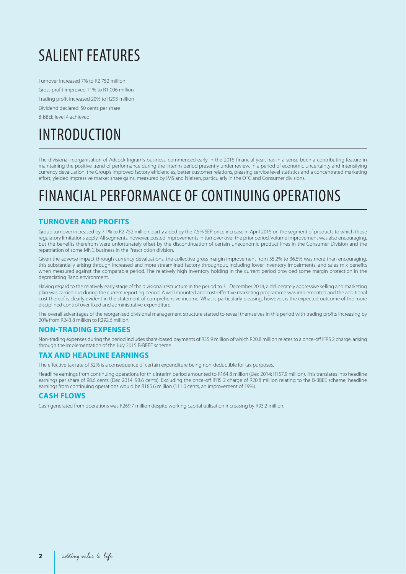# SALIENT FEATURES

Turnover increased 7% to R2 752 million Gross profit improved 11% to R1 006 million Trading profit increased 20% to R293 million Dividend declared: 50 cents per share B-BBEE level 4 achieved

# INTRODUCTION

The divisional reorganisation of Adcock Ingram's business, commenced early in the 2015 financial year, has in a sense been a contributing feature in maintaining the positive trend of performance during the interim period presently under review. In a period of economic uncertainty and intensifying currency devaluation, the Group's improved factory efficiencies, better customer relations, pleasing service level statistics and a concentrated marketing effort, yielded impressive market share gains, measured by IMS and Nielsen, particularly in the OTC and Consumer divisions.

### FINANCIAL PERFORMANCE OF CONTINUING OPERATIONS

### **TURNOVER AND PROFITS**

Group turnover increased by 7.1% to R2 752 million, partly aided by the 7.5% SEP price increase in April 2015 on the segment of products to which those regulatory limitations apply. All segments, however, posted improvements in turnover over the prior period. Volume improvement was also encouraging, but the benefits therefrom were unfortunately offset by the discontinuation of certain uneconomic product lines in the Consumer Division and the repatriation of some MNC business in the Prescription division.

Given the adverse impact through currency devaluations, the collective gross margin improvement from 35.2% to 36.5% was more than encouraging, this substantially arising through increased and more streamlined factory throughput, including lower inventory impairments, and sales mix benefits when measured against the comparable period. The relatively high inventory holding in the current period provided some margin protection in the depreciating Rand environment.

Having regard to the relatively early stage of the divisional restructure in the period to 31 December 2014, a deliberately aggressive selling and marketing plan was carried out during the current reporting period. A well mounted and cost-effective marketing programme was implemented and the additional cost thereof is clearly evident in the statement of comprehensive income. What is particularly pleasing, however, is the expected outcome of the more disciplined control over fixed and administrative expenditure.

The overall advantages of the reorganised divisional management structure started to reveal themselves in this period with trading profits increasing by 20% from R243.8 million to R292.6 million.

### **NON-TRADING EXPENSES**

Non-trading expenses during the period includes share-based payments of R35.9 million of which R20.8 million relates to a once-off IFRS 2 charge, arising through the implementation of the July 2015 B-BBEE scheme.

### **TAX AND HEADLINE EARNINGS**

The effective tax rate of 32% is a consequence of certain expenditure being non-deductible for tax purposes.

Headline earnings from continuing operations for this interim period amounted to R164.8 million (Dec 2014: R157.9 million). This translates into headline earnings per share of 98.6 cents (Dec 2014: 93.6 cents). Excluding the once-off IFRS 2 charge of R20.8 million relating to the B-BBEE scheme, headline earnings from continuing operations would be R185.6 million (111.0 cents, an improvement of 19%).

### **CASH FLOWS**

Cash generated from operations was R269.7 million despite working capital utilisation increasing by R93.2 million.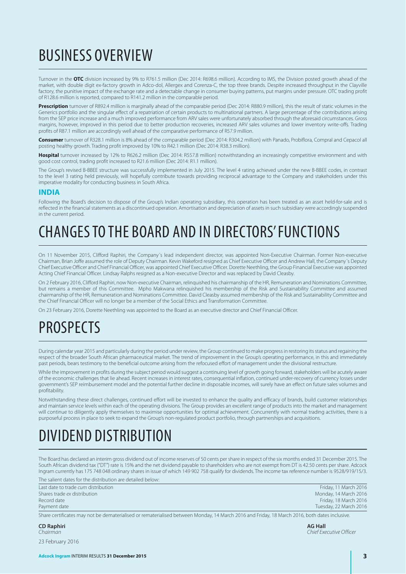# BUSINESS OVERVIEW

Turnover in the **OTC** division increased by 9% to R761.5 million (Dec 2014: R698.6 million). According to IMS, the Division posted growth ahead of the market, with double digit ex-factory growth in Adco-dol, Allergex and Corenza-C, the top three brands. Despite increased throughput in the Clayville factory, the punitive impact of the exchange rate and a detectable change in consumer buying patterns, put margins under pressure. OTC trading profit of R128.6 million is reported, compared to R141.2 million in the comparable period.

**Prescription** turnover of R892.4 million is marginally ahead of the comparable period (Dec 2014: R880.9 million), this the result of static volumes in the Generics portfolio and the singular effect of a repatriation of certain products to multinational partners. A large percentage of the contributions arising from the SEP price increase and a much improved performance from ARV sales were unfortunately absorbed through the aforesaid circumstances. Gross margins, however, improved in this period due to better production recoveries, increased ARV sales volumes and lower inventory write-offs. Trading profits of R87.1 million are accordingly well ahead of the comparative performance of R57.9 million.

**Consumer** turnover of R328.1 million is 8% ahead of the comparable period (Dec 2014: R304.2 million) with Panado, Probiflora, Compral and Cepacol all posting healthy growth. Trading profit improved by 10% to R42.1 million (Dec 2014: R38.3 million).

**Hospital** turnover increased by 12% to R626.2 million (Dec 2014: R557.8 million) notwithstanding an increasingly competitive environment and with good cost control, trading profit increased to R21.6 million (Dec 2014: R1.1 million).

The Group's revised B-BBEE structure was successfully implemented in July 2015. The level 4 rating achieved under the new B-BBEE codes, in contrast to the level 3 rating held previously, will hopefully contribute towards providing reciprocal advantage to the Company and stakeholders under this imperative modality for conducting business in South Africa.

### **INDIA**

Following the Board's decision to dispose of the Group's Indian operating subsidiary, this operation has been treated as an asset held-for-sale and is reflected in the financial statements as a discontinued operation. Amortisation and depreciation of assets in such subsidiary were accordingly suspended in the current period.

## CHANGES TO THE BOARD AND IN DIRECTORS' FUNCTIONS

On 11 November 2015, Clifford Raphiri, the Company´s lead independent director, was appointed Non-Executive Chairman. Former Non-executive Chairman, Brian Joffe assumed the role of Deputy Chairman. Kevin Wakeford resigned as Chief Executive Officer and Andrew Hall, the Company´s Deputy Chief Executive Officer and Chief Financial Officer, was appointed Chief Executive Officer. Dorette Neethling, the Group Financial Executive was appointed Acting Chief Financial Officer. Lindsay Ralphs resigned as a Non-executive Director and was replaced by David Cleasby.

On 2 February 2016, Clifford Raphiri, now Non-executive Chairman, relinquished his chairmanship of the HR, Remuneration and Nominations Committee, but remains a member of this Committee. Mpho Makwana relinquished his membership of the Risk and Sustainability Committee and assumed chairmanship of the HR, Remuneration and Nominations Committee. David Cleasby assumed membership of the Risk and Sustainability Committee and the Chief Financial Officer will no longer be a member of the Social Ethics and Transformation Committee.

On 23 February 2016, Dorette Neethling was appointed to the Board as an executive director and Chief Financial Officer.

### PROSPECTS

During calendar year 2015 and particularly during the period under review, the Group continued to make progress in restoring its status and regaining the respect of the broader South African pharmaceutical market. The trend of improvement in the Group's operating performance, in this and immediately past periods, bears testimony to the beneficial outcome arising from the refocused effort of management under the divisional restructure.

While the improvement in profits during the subject period would suggest a continuing level of growth going forward, stakeholders will be acutely aware of the economic challenges that lie ahead. Recent increases in interest rates, consequential inflation, continued under-recovery of currency losses under government's SEP reimbursement model and the potential further decline in disposable incomes, will surely have an effect on future sales volumes and profitability.

Notwithstanding these direct challenges, continued effort will be invested to enhance the quality and efficacy of brands, build customer relationships and maintain service levels within each of the operating divisions. The Group provides an excellent range of products into the market and management will continue to diligently apply themselves to maximise opportunities for optimal achievement. Concurrently with normal trading activities, there is a purposeful process in place to seek to expand the Group's non-regulated product portfolio, through partnerships and acquisitions.

### DIVIDEND DISTRIBUTION

The Board has declared an interim gross dividend out of income reserves of 50 cents per share in respect of the six months ended 31 December 2015. The South African dividend tax ("DT") rate is 15% and the net dividend payable to shareholders who are not exempt from DT is 42.50 cents per share. Adcock Ingram currently has 175 748 048 ordinary shares in issue of which 149 902 758 qualify for dividends. The income tax reference number is 9528/919/15/3. The salient dates for the distribution are detailed belo

| THE Banchit Gates for the Gibthoution are detailed below. |                        |
|-----------------------------------------------------------|------------------------|
| Last date to trade cum distribution                       | Friday, 11 March 2016  |
| Shares trade ex distribution                              | Monday, 14 March 2016  |
| Record date                                               | Friday, 18 March 2016  |
| Payment date                                              | Tuesday, 22 March 2016 |

Share certificates may not be dematerialised or rematerialised between Monday, 14 March 2016 and Friday, 18 March 2016, both dates inclusive.

**CD Raphiri AG Hall**

23 February 2016

**Chairman** Chief Executive Officer **Chief Executive Officer** Chief Executive Officer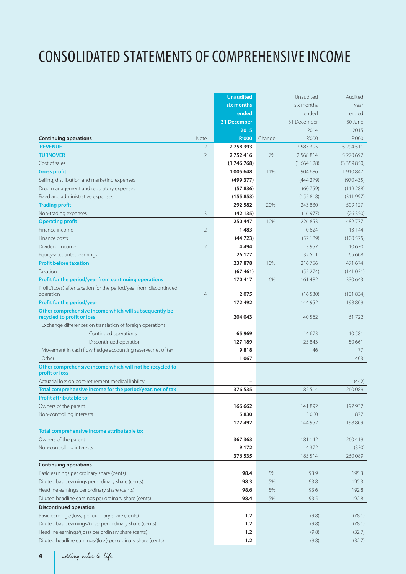# CONSOLIDATED STATEMENTS OF COMPREHENSIVE INCOME

|                                                                                     | <b>Unaudited</b> |        | Unaudited     | Audited   |
|-------------------------------------------------------------------------------------|------------------|--------|---------------|-----------|
|                                                                                     | six months       |        | six months    | year      |
|                                                                                     | ended            |        | ended         | ended     |
|                                                                                     | 31 December      |        | 31 December   | 30 June   |
|                                                                                     | 2015             |        | 2014          | 2015      |
| <b>Continuing operations</b><br>Note                                                | R'000            | Change | R'000         | R'000     |
| <b>REVENUE</b><br>$\overline{2}$                                                    | 2758393          |        | 2 5 8 3 3 9 5 | 5 294 511 |
| <b>TURNOVER</b><br>$\overline{2}$                                                   | 2752416          | 7%     | 2 5 6 8 8 1 4 | 5 270 697 |
| Cost of sales                                                                       | (1746768)        |        | (1664128)     | (3359850) |
| <b>Gross profit</b>                                                                 | 1 005 648        | 11%    | 904 686       | 1910847   |
| Selling, distribution and marketing expenses                                        | (499377)         |        | (444279)      | (970435)  |
| Drug management and regulatory expenses                                             | (57836)          |        | (60759)       | (119288)  |
| Fixed and administrative expenses                                                   | (155853)         |        | (155818)      | (311997)  |
| <b>Trading profit</b>                                                               | 292 582          | 20%    | 243 830       | 509 127   |
| 3<br>Non-trading expenses                                                           | (42135)          |        | (16977)       | (26350)   |
| <b>Operating profit</b>                                                             | 250 447          | 10%    | 226 853       | 482777    |
| Finance income<br>$\overline{2}$                                                    | 1483             |        | 10624         | 13 144    |
| Finance costs                                                                       | (44723)          |        | (57189)       | (100525)  |
| Dividend income<br>$\overline{2}$                                                   | 4494             |        | 3957          | 10670     |
| Equity-accounted earnings                                                           | 26 177           |        | 32 5 11       | 65 608    |
| <b>Profit before taxation</b>                                                       | 237878           | 10%    | 216 756       | 471 674   |
| Taxation                                                                            | (67461)          |        | (55274)       | (141031)  |
| Profit for the period/year from continuing operations                               | 170417           | 6%     | 161 482       | 330 643   |
| Profit/(Loss) after taxation for the period/year from discontinued                  |                  |        |               |           |
| $\overline{4}$<br>operation                                                         | 2075             |        | (16530)       | (131834)  |
| Profit for the period/year                                                          | 172492           |        | 144 952       | 198 809   |
| Other comprehensive income which will subsequently be<br>recycled to profit or loss | 204 043          |        | 40 5 62       | 61722     |
| Exchange differences on translation of foreign operations:                          |                  |        |               |           |
| - Continued operations                                                              | 65 969           |        | 14673         | 10581     |
| - Discontinued operation                                                            | 127 189          |        | 25 843        | 50 661    |
| Movement in cash flow hedge accounting reserve, net of tax                          | 9818             |        | 46            | 77        |
| Other                                                                               | 1067             |        |               | 403       |
| Other comprehensive income which will not be recycled to<br>profit or loss          |                  |        |               |           |
| Actuarial loss on post-retirement medical liability                                 |                  |        |               | (442)     |
| Total comprehensive income for the period/year, net of tax                          | 376 535          |        | 185 514       | 260 089   |
| <b>Profit attributable to:</b>                                                      |                  |        |               |           |
| Owners of the parent                                                                | 166 662          |        | 141 892       | 197 932   |
| Non-controlling interests                                                           | 5830             |        | 3 0 6 0       | 877       |
|                                                                                     | 172492           |        | 144 952       | 198 809   |
| Total comprehensive income attributable to:                                         |                  |        |               |           |
| Owners of the parent                                                                | 367 363          |        | 181 142       | 260 419   |
| Non-controlling interests                                                           | 9172             |        | 4 3 7 2       | (330)     |
|                                                                                     | 376 535          |        | 185 514       | 260 089   |
| <b>Continuing operations</b>                                                        |                  |        |               |           |
| Basic earnings per ordinary share (cents)                                           | 98.4             | 5%     | 93.9          | 195.3     |
| Diluted basic earnings per ordinary share (cents)                                   | 98.3             | 5%     | 93.8          | 195.3     |
| Headline earnings per ordinary share (cents)                                        | 98.6             | 5%     | 93.6          | 192.8     |
| Diluted headline earnings per ordinary share (cents)                                | 98.4             | 5%     | 93.5          | 192.8     |
| <b>Discontinued operation</b>                                                       |                  |        |               |           |
| Basic earnings/(loss) per ordinary share (cents)                                    | 1.2              |        | (9.8)         | (78.1)    |
| Diluted basic earnings/(loss) per ordinary share (cents)                            | 1.2              |        | (9.8)         | (78.1)    |
| Headline earnings/(loss) per ordinary share (cents)                                 | 1.2              |        | (9.8)         | (32.7)    |
| Diluted headline earnings/(loss) per ordinary share (cents)                         | $1.2$            |        | (9.8)         | (32.7)    |

**4**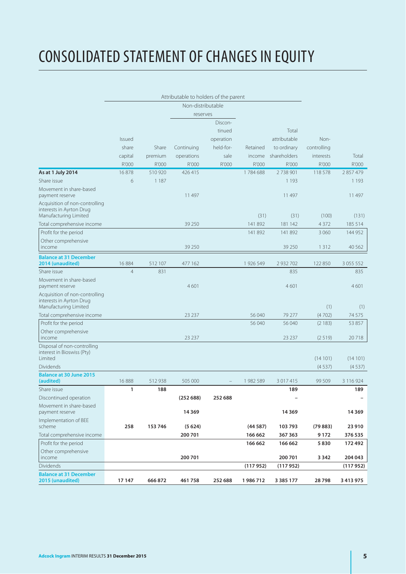# CONSOLIDATED STATEMENT OF CHANGES IN EQUITY

|                                                                                     |                |         | Attributable to holders of the parent |           |           |               |             |               |
|-------------------------------------------------------------------------------------|----------------|---------|---------------------------------------|-----------|-----------|---------------|-------------|---------------|
|                                                                                     |                |         | Non-distributable                     |           |           |               |             |               |
|                                                                                     |                |         | reserves                              |           |           |               |             |               |
|                                                                                     |                |         |                                       | Discon-   |           |               |             |               |
|                                                                                     |                |         |                                       | tinued    |           | Total         |             |               |
|                                                                                     | <b>Issued</b>  |         |                                       | operation |           | attributable  | Non-        |               |
|                                                                                     | share          | Share   | Continuing                            | held-for- | Retained  | to ordinary   | controlling |               |
|                                                                                     | capital        | premium | operations                            | sale      | income    | shareholders  | interests   | Total         |
|                                                                                     |                |         |                                       |           |           |               | R'000       |               |
|                                                                                     | R'000          | R'000   | R'000                                 | R'000     | R'000     | R'000         |             | R'000         |
| As at 1 July 2014                                                                   | 16878          | 510920  | 426 415                               |           | 1784688   | 2738901       | 118578      | 2857479       |
| Share issue                                                                         | 6              | 1 1 8 7 |                                       |           |           | 1 1 9 3       |             | 1 1 9 3       |
| Movement in share-based<br>payment reserve                                          |                |         | 11 497                                |           |           | 11 497        |             | 11 497        |
| Acquisition of non-controlling<br>interests in Ayrton Drug<br>Manufacturing Limited |                |         |                                       |           | (31)      | (31)          | (100)       | (131)         |
| Total comprehensive income                                                          |                |         | 39 250                                |           | 141 892   | 181 142       | 4 3 7 2     | 185 514       |
| Profit for the period                                                               |                |         |                                       |           | 141 892   | 141 892       | 3 0 6 0     | 144 952       |
| Other comprehensive                                                                 |                |         |                                       |           |           |               |             |               |
| income                                                                              |                |         | 39 250                                |           |           | 39 250        | 1312        | 40 5 62       |
| <b>Balance at 31 December</b><br>2014 (unaudited)                                   | 16884          | 512 107 | 477 162                               |           | 1 926 549 | 2 9 3 2 7 0 2 | 122 850     | 3 0 5 5 5 5 2 |
| Share issue                                                                         | $\overline{4}$ | 831     |                                       |           |           | 835           |             | 835           |
| Movement in share-based<br>payment reserve                                          |                |         | 4601                                  |           |           | 4601          |             | 4601          |
| Acquisition of non-controlling<br>interests in Ayrton Drug<br>Manufacturing Limited |                |         |                                       |           |           |               | (1)         | (1)           |
| Total comprehensive income                                                          |                |         | 23 237                                |           | 56 040    | 79 277        | (4702)      | 74 5 7 5      |
| Profit for the period                                                               |                |         |                                       |           | 56 040    | 56 040        | (2183)      | 53 857        |
| Other comprehensive                                                                 |                |         |                                       |           |           |               |             |               |
| income                                                                              |                |         | 23 2 3 7                              |           |           | 23 237        | (2519)      | 20718         |
| Disposal of non-controlling<br>interest in Bioswiss (Pty)<br>Limited                |                |         |                                       |           |           |               | (14101)     | (14101)       |
| <b>Dividends</b>                                                                    |                |         |                                       |           |           |               | (4537)      | (4537)        |
|                                                                                     |                |         |                                       |           |           |               |             |               |
| <b>Balance at 30 June 2015</b><br>(audited)                                         | 16888          | 512938  | 505 000                               |           | 1982 589  | 3 0 1 7 4 1 5 | 99 509      | 3 116 924     |
| Share issue                                                                         | 1              | 188     |                                       |           |           | 189           |             | 189           |
| Discontinued operation                                                              |                |         | (25268)                               | 252 688   |           |               |             |               |
| Movement in share-based<br>payment reserve                                          |                |         | 14369                                 |           |           | 14 3 69       |             | 14 3 69       |
| Implementation of BEE<br>scheme                                                     | 258            | 153 746 | (5624)                                |           | (44587)   | 103793        | (79883)     | 23 910        |
| Total comprehensive income                                                          |                |         | 200 701                               |           | 166 662   | 367 363       | 9172        | 376 535       |
| Profit for the period                                                               |                |         |                                       |           | 166 662   | 166 662       | 5830        | 172492        |
| Other comprehensive                                                                 |                |         |                                       |           |           |               |             |               |
| income                                                                              |                |         | 200 701                               |           |           | 200 701       | 3 3 4 2     | 204 043       |
| Dividends                                                                           |                |         |                                       |           | (117952)  | (117952)      |             | (117952)      |
| <b>Balance at 31 December</b><br>2015 (unaudited)                                   | 17 147         | 666 872 | 461758                                | 252 688   | 1986712   | 3 3 8 5 1 7 7 | 28798       | 3413975       |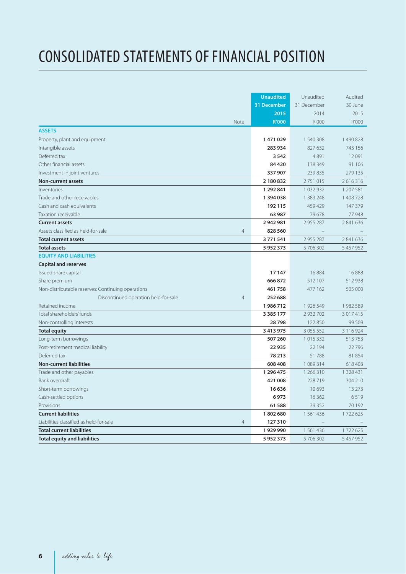# CONSOLIDATED STATEMENTS OF FINANCIAL POSITION

|                                                   | <b>Unaudited</b>          | Unaudited     | Audited   |
|---------------------------------------------------|---------------------------|---------------|-----------|
|                                                   | 31 December               | 31 December   | 30 June   |
|                                                   | 2015                      | 2014          | 2015      |
| Note                                              | <b>R'000</b>              | R'000         | R'000     |
| <b>ASSETS</b>                                     |                           |               |           |
| Property, plant and equipment                     | 1471029                   | 1 540 308     | 1490828   |
| Intangible assets                                 | 283 934                   | 827 632       | 743 156   |
| Deferred tax                                      | 3 5 4 2                   | 4891          | 12091     |
| Other financial assets                            | 84 4 20                   | 138 349       | 91 106    |
| Investment in joint ventures                      | 337 907                   | 239 835       | 279 135   |
| <b>Non-current assets</b>                         | 2 180 832                 | 2 751 015     | 2616316   |
| Inventories                                       | 1 292 841                 | 1032932       | 1 207 581 |
| Trade and other receivables                       | 1394038                   | 1 3 8 3 2 4 8 | 1 408 728 |
| Cash and cash equivalents                         | 192 115                   | 459 429       | 147 379   |
| Taxation receivable                               | 63 987                    | 79 678        | 77948     |
| <b>Current assets</b>                             | 2942981                   | 2 955 287     | 2 841 636 |
| Assets classified as held-for-sale                | 828 560<br>$\overline{4}$ |               |           |
| <b>Total current assets</b>                       | 3771541                   | 2955287       | 2 841 636 |
| <b>Total assets</b>                               | 5952373                   | 5706302       | 5 457 952 |
| <b>EOUITY AND LIABILITIES</b>                     |                           |               |           |
| <b>Capital and reserves</b>                       |                           |               |           |
| Issued share capital                              | 17 147                    | 16 8 84       | 16888     |
| Share premium                                     | 666 872                   | 512 107       | 512938    |
| Non-distributable reserves: Continuing operations | 461758                    | 477 162       | 505 000   |
| Discontinued operation held-for-sale              | $\overline{4}$<br>252 688 |               |           |
| Retained income                                   | 1986712                   | 1 926 549     | 1982589   |
| Total shareholders' funds                         | 3 3 8 5 1 7 7             | 2 9 3 2 7 0 2 | 3 017 415 |
| Non-controlling interests                         | 28798                     | 122 850       | 99 509    |
| <b>Total equity</b>                               | 3 4 1 3 9 7 5             | 3 0 5 5 5 5 2 | 3 116 924 |
| Long-term borrowings                              | 507 260                   | 1015332       | 513753    |
| Post-retirement medical liability                 | 22 935                    | 22 194        | 22796     |
| Deferred tax                                      | 78 213                    | 51788         | 81854     |
| <b>Non-current liabilities</b>                    | 608 408                   | 1089314       | 618 403   |
| Trade and other payables                          | 1 296 475                 | 1 266 310     | 1 328 431 |
| Bank overdraft                                    | 421 008                   | 228 719       | 304 210   |
| Short-term borrowings                             | 16 636                    | 10 693        | 13 2 7 3  |
| Cash-settled options                              | 6973                      | 16 3 6 2      | 6519      |
| Provisions                                        | 61 588                    | 39 35 2       | 70 192    |
| <b>Current liabilities</b>                        | 1802680                   | 1561436       | 1722625   |
| Liabilities classified as held-for-sale           | 127310<br>$\overline{4}$  |               |           |
| <b>Total current liabilities</b>                  | 1929990                   | 1561436       | 1722625   |
| <b>Total equity and liabilities</b>               | 5952373                   | 5 706 302     | 5 457 952 |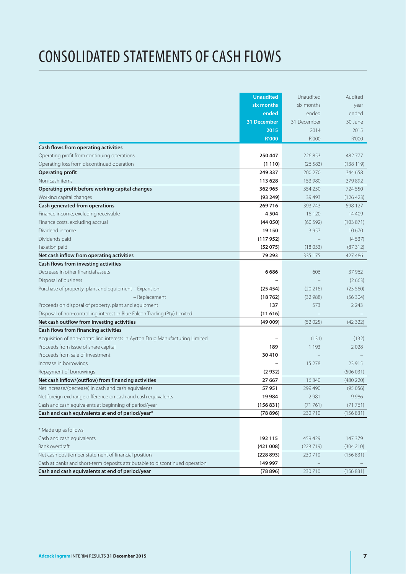# CONSOLIDATED STATEMENTS OF CASH FLOWS

|                                                                               | <b>Unaudited</b> | Unaudited   | Audited   |
|-------------------------------------------------------------------------------|------------------|-------------|-----------|
|                                                                               | six months       | six months  | year      |
|                                                                               | ended            | ended       | ended     |
|                                                                               | 31 December      | 31 December | 30 June   |
|                                                                               | 2015             | 2014        | 2015      |
|                                                                               | <b>R'000</b>     | R'000       | R'000     |
| Cash flows from operating activities                                          |                  |             |           |
| Operating profit from continuing operations                                   | 250 447          | 226853      | 482 777   |
| Operating loss from discontinued operation                                    | (1110)           | (26583)     | (138119)  |
| <b>Operating profit</b>                                                       | 249 337          | 200 270     | 344 658   |
| Non-cash items                                                                | 113 628          | 153 980     | 379 892   |
| Operating profit before working capital changes                               | 362 965          | 354 250     | 724 550   |
| Working capital changes                                                       | (93 249)         | 39 4 93     | (126 423) |
| Cash generated from operations                                                | 269716           | 393 743     | 598 127   |
| Finance income, excluding receivable                                          | 4504             | 16 120      | 14 4 0 9  |
| Finance costs, excluding accrual                                              | (44050)          | (60 592)    | (103 871) |
| Dividend income                                                               | 19 150           | 3 9 5 7     | 10670     |
| Dividends paid                                                                | (117952)         |             | (4537)    |
| Taxation paid                                                                 | (52075)          | (18053)     | (87312)   |
| Net cash inflow from operating activities                                     | 79 293           | 335 175     | 427 486   |
| Cash flows from investing activities                                          |                  |             |           |
| Decrease in other financial assets                                            | 6686             | 606         | 37 962    |
| Disposal of business                                                          |                  |             | (2663)    |
| Purchase of property, plant and equipment - Expansion                         | (25454)          | (20 216)    | (23 560)  |
| - Replacement                                                                 | (18762)          | (32988)     | (56304)   |
| Proceeds on disposal of property, plant and equipment                         | 137              | 573         | 2 2 4 3   |
| Disposal of non-controlling interest in Blue Falcon Trading (Pty) Limited     | (11616)          |             |           |
| Net cash outflow from investing activities                                    | (49009)          | (52025)     | (42322)   |
| Cash flows from financing activities                                          |                  |             |           |
| Acquisition of non-controlling interests in Ayrton Drug Manufacturing Limited |                  | (131)       | (132)     |
| Proceeds from issue of share capital                                          | 189              | 1 1 9 3     | 2028      |
| Proceeds from sale of investment                                              | 30410            |             |           |
| Increase in borrowings                                                        |                  | 15 278      | 23 9 15   |
| Repayment of borrowings                                                       | (2932)           |             | (506031)  |
| Net cash inflow/(outflow) from financing activities                           | 27 667           | 16 340      | (480 220) |
| Net increase/(decrease) in cash and cash equivalents                          | 57951            | 299 490     | (95056)   |
| Net foreign exchange difference on cash and cash equivalents                  | 19984            | 2 9 8 1     | 9986      |
| Cash and cash equivalents at beginning of period/year                         | (156831)         | (71761)     | (71761)   |
| Cash and cash equivalents at end of period/year*                              | (78896)          | 230710      | (156 831) |
|                                                                               |                  |             |           |
| * Made up as follows:                                                         |                  |             |           |
| Cash and cash equivalents                                                     | 192 115          | 459 429     | 147 379   |
| Bank overdraft                                                                | (421008)         | (228719)    | (304 210) |
| Net cash position per statement of financial position                         | (228893)         | 230 710     | (156 831) |
| Cash at banks and short-term deposits attributable to discontinued operation  | 149 997          |             |           |
| Cash and cash equivalents at end of period/year                               | (78896)          | 230710      | (156 831) |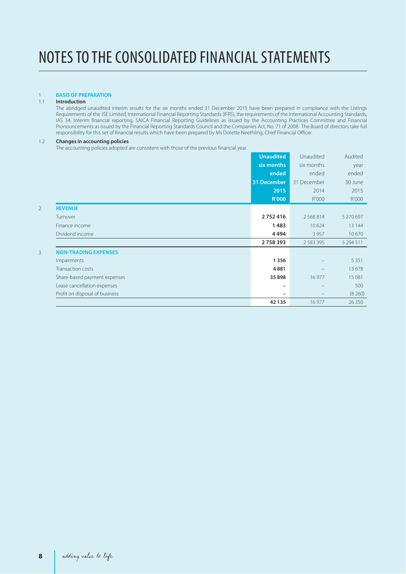### 1 **BASIS OF PREPARATION**

#### 1.1 **Introduction**

 The abridged unaudited interim results for the six months ended 31 December 2015 have been prepared in compliance with the Listings Requirements of the JSE Limited, International Financial Reporting Standards (IFRS), the requirements of the International Accounting Standards, IAS 34: Interim financial reporting, SAICA Financial Reporting Guidelines as issued by the Accounting Practices Committee and Financial Pronouncements as issued by the Financial Reporting Standards Council and the Companies Act, No. 71 of 2008. The Board of directors take full responsibility for this set of financial results which have been prepared by Ms Dorette Neethling, Chief Financial Officer.

#### 1.2 **Changes in accounting policies**

The accounting policies adopted are consistent with those of the previous financial year.

|                |                                | <b>Unaudited</b>         | Unaudited     | Audited   |
|----------------|--------------------------------|--------------------------|---------------|-----------|
|                |                                | six months               | six months    | year      |
|                |                                | ended                    | ended         | ended     |
|                |                                | 31 December              | 31 December   | 30 June   |
|                |                                | 2015                     | 2014          | 2015      |
|                |                                | <b>R'000</b>             | R'000         | R'000     |
| $\overline{2}$ | <b>REVENUE</b>                 |                          |               |           |
|                | Turnover                       | 2752416                  | 2568814       | 5 270 697 |
|                | Finance income                 | 1483                     | 10 624        | 13 144    |
|                | Dividend income                | 4494                     | 3 9 5 7       | 10670     |
|                |                                | 2758393                  | 2 5 8 3 3 9 5 | 5 294 511 |
| 3              | <b>NON-TRADING EXPENSES</b>    |                          |               |           |
|                | Impairments                    | 1356                     |               | 5 3 5 1   |
|                | Transaction costs              | 4881                     |               | 13678     |
|                | Share-based payment expenses   | 35 898                   | 16 977        | 15 081    |
|                | Lease cancellation expenses    | $\overline{\phantom{m}}$ |               | 500       |
|                | Profit on disposal of business | $\qquad \qquad -$        |               | (8260)    |
|                |                                | 42 135                   | 16 977        | 26 3 50   |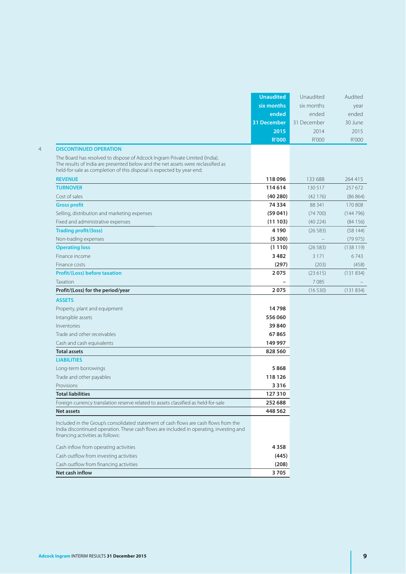|                                                                                                                                                                                                                                          | <b>Unaudited</b> | Unaudited   | Audited  |
|------------------------------------------------------------------------------------------------------------------------------------------------------------------------------------------------------------------------------------------|------------------|-------------|----------|
|                                                                                                                                                                                                                                          | six months       | six months  | year     |
|                                                                                                                                                                                                                                          | ended            | ended       | ended    |
|                                                                                                                                                                                                                                          | 31 December      | 31 December | 30 June  |
|                                                                                                                                                                                                                                          | 2015             | 2014        | 2015     |
|                                                                                                                                                                                                                                          | <b>R'000</b>     | R'000       | R'000    |
| <b>DISCONTINUED OPERATION</b>                                                                                                                                                                                                            |                  |             |          |
| The Board has resolved to dispose of Adcock Ingram Private Limited (India).<br>The results of India are presented below and the net assets were reclassified as<br>held-for-sale as completion of this disposal is expected by year-end. |                  |             |          |
| <b>REVENUE</b>                                                                                                                                                                                                                           | 118096           | 133 688     | 264 415  |
| <b>TURNOVER</b>                                                                                                                                                                                                                          | 114 614          | 130 517     | 257 672  |
| Cost of sales                                                                                                                                                                                                                            | (40280)          | (42176)     | (86 864) |
| <b>Gross profit</b>                                                                                                                                                                                                                      | 74 334           | 88 341      | 170 808  |
| Selling, distribution and marketing expenses                                                                                                                                                                                             | (59041)          | (74700)     | (144796) |
| Fixed and administrative expenses                                                                                                                                                                                                        | (11103)          | (40 224)    | (84156)  |
| <b>Trading profit/(loss)</b>                                                                                                                                                                                                             | 4 1 9 0          | (26 583)    | (58144)  |
| Non-trading expenses                                                                                                                                                                                                                     | (5300)           |             | (79975)  |
| <b>Operating loss</b>                                                                                                                                                                                                                    | (1110)           | (26 583)    | (138119) |
| Finance income                                                                                                                                                                                                                           | 3482             | 3 1 7 1     | 6743     |
| Finance costs                                                                                                                                                                                                                            | (297)            | (203)       | (458)    |
| <b>Profit/(Loss) before taxation</b>                                                                                                                                                                                                     | 2075             | (23615)     | (131834) |
| Taxation                                                                                                                                                                                                                                 |                  | 7085        |          |
| Profit/(Loss) for the period/year                                                                                                                                                                                                        | 2075             | (16530)     | (131834) |
| <b>ASSETS</b>                                                                                                                                                                                                                            |                  |             |          |
| Property, plant and equipment                                                                                                                                                                                                            | 14798            |             |          |
| Intangible assets                                                                                                                                                                                                                        | 556 060          |             |          |
| Inventories                                                                                                                                                                                                                              | 39 840           |             |          |
| Trade and other receivables                                                                                                                                                                                                              | 67865            |             |          |
| Cash and cash equivalents                                                                                                                                                                                                                | 149 997          |             |          |
| <b>Total assets</b>                                                                                                                                                                                                                      | 828 560          |             |          |
| <b>LIABILITIES</b>                                                                                                                                                                                                                       |                  |             |          |
| Long-term borrowings                                                                                                                                                                                                                     | 5868             |             |          |
| Trade and other payables                                                                                                                                                                                                                 | 118 126          |             |          |
| Provisions                                                                                                                                                                                                                               | 3316             |             |          |
| <b>Total liabilities</b>                                                                                                                                                                                                                 | 127 310          |             |          |
| Foreign currency translation reserve related to assets classified as held-for-sale                                                                                                                                                       | 252 688          |             |          |
| Net assets                                                                                                                                                                                                                               | 448 562          |             |          |
| Included in the Group's consolidated statement of cash flows are cash flows from the<br>India discontinued operation. These cash flows are included in operating, investing and<br>financing activities as follows:                      |                  |             |          |
|                                                                                                                                                                                                                                          |                  |             |          |
| Cash inflow from operating activities                                                                                                                                                                                                    | 4358             |             |          |
| Cash outflow from investing activities                                                                                                                                                                                                   | (445)            |             |          |
| Cash outflow from financing activities                                                                                                                                                                                                   | (208)            |             |          |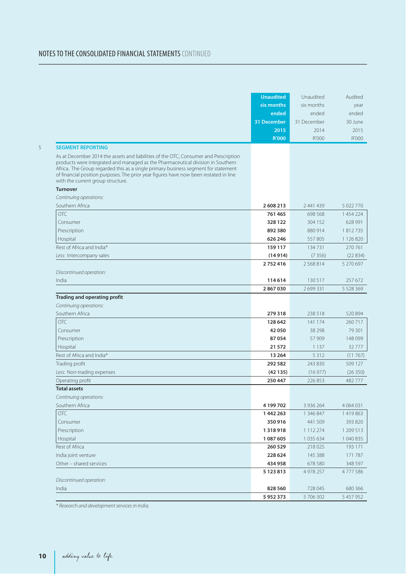### NOTES TO THE CONSOLIDATED FINANCIAL STATEMENTS CONTINUED

|                                                                                                                                                                                                                                                                                                                                                                                             | <b>Unaudited</b><br>six months<br>ended<br>31 December<br>2015<br><b>R'000</b> | Unaudited<br>six months<br>ended<br>31 December<br>2014<br>R'000 | Audited<br>year<br>ended<br>30 June<br>2015<br>R'000 |
|---------------------------------------------------------------------------------------------------------------------------------------------------------------------------------------------------------------------------------------------------------------------------------------------------------------------------------------------------------------------------------------------|--------------------------------------------------------------------------------|------------------------------------------------------------------|------------------------------------------------------|
| <b>SEGMENT REPORTING</b>                                                                                                                                                                                                                                                                                                                                                                    |                                                                                |                                                                  |                                                      |
| As at December 2014 the assets and liabilities of the OTC, Consumer and Prescription<br>products were integrated and managed as the Pharmaceutical division in Southern<br>Africa. The Group regarded this as a single primary business segment for statement<br>of financial position purposes. The prior year figures have now been restated in line<br>with the current group structure. |                                                                                |                                                                  |                                                      |
| <b>Turnover</b>                                                                                                                                                                                                                                                                                                                                                                             |                                                                                |                                                                  |                                                      |
| Continuing operations:                                                                                                                                                                                                                                                                                                                                                                      |                                                                                |                                                                  |                                                      |
| Southern Africa                                                                                                                                                                                                                                                                                                                                                                             | 2608213                                                                        | 2 441 439                                                        | 5 022 770                                            |
| OTC.                                                                                                                                                                                                                                                                                                                                                                                        | 761 465                                                                        | 698 568                                                          | 1454224                                              |
| Consumer                                                                                                                                                                                                                                                                                                                                                                                    | 328 122                                                                        | 304 152                                                          | 628 991                                              |
| Prescription                                                                                                                                                                                                                                                                                                                                                                                | 892 380                                                                        | 880 914                                                          | 1812735                                              |
| Hospital                                                                                                                                                                                                                                                                                                                                                                                    | 626 246                                                                        | 557805                                                           | 1 126 820                                            |
| Rest of Africa and India*                                                                                                                                                                                                                                                                                                                                                                   | 159 117                                                                        | 134 731                                                          | 270 761                                              |
| Less: Intercompany sales                                                                                                                                                                                                                                                                                                                                                                    | (14914)                                                                        | (7356)                                                           | (22834)                                              |
|                                                                                                                                                                                                                                                                                                                                                                                             | 2752416                                                                        | 2568814                                                          | 5 270 697                                            |
| Discontinued operation:                                                                                                                                                                                                                                                                                                                                                                     |                                                                                |                                                                  |                                                      |
| India                                                                                                                                                                                                                                                                                                                                                                                       | 114 614                                                                        | 130 517                                                          | 257 672                                              |
|                                                                                                                                                                                                                                                                                                                                                                                             | 2867030                                                                        | 2 699 331                                                        | 5 5 28 3 6 9                                         |
| Trading and operating profit<br>Continuing operations:                                                                                                                                                                                                                                                                                                                                      |                                                                                |                                                                  |                                                      |
| Southern Africa                                                                                                                                                                                                                                                                                                                                                                             | 279318                                                                         | 238 518                                                          | 520 894                                              |
| <b>OTC</b>                                                                                                                                                                                                                                                                                                                                                                                  | 128 642                                                                        | 141 174                                                          | 260 717                                              |
| Consumer                                                                                                                                                                                                                                                                                                                                                                                    | 42 050                                                                         | 38 298                                                           | 79 301                                               |
| Prescription                                                                                                                                                                                                                                                                                                                                                                                | 87054                                                                          | 57 909                                                           | 148 099                                              |
| Hospital                                                                                                                                                                                                                                                                                                                                                                                    | 21 572                                                                         | 1 1 3 7                                                          | 32777                                                |
| Rest of Africa and India*                                                                                                                                                                                                                                                                                                                                                                   | 13 264                                                                         | 5 3 1 2                                                          | (11767)                                              |
| Trading profit                                                                                                                                                                                                                                                                                                                                                                              | 292 582                                                                        | 243830                                                           | 509 127                                              |
| Less: Non-trading expenses                                                                                                                                                                                                                                                                                                                                                                  | (42135)                                                                        | (16977)                                                          | (26350)                                              |
| Operating profit                                                                                                                                                                                                                                                                                                                                                                            | 250 447                                                                        | 226853                                                           | 482777                                               |
| <b>Total assets</b>                                                                                                                                                                                                                                                                                                                                                                         |                                                                                |                                                                  |                                                      |
| Continuing operations:                                                                                                                                                                                                                                                                                                                                                                      |                                                                                |                                                                  |                                                      |
| Southern Africa                                                                                                                                                                                                                                                                                                                                                                             | 4 199 702                                                                      | 3 9 3 6 2 6 4                                                    | 4 0 6 4 0 3 1                                        |
| <b>OTC</b>                                                                                                                                                                                                                                                                                                                                                                                  | 1442263                                                                        | 1 346 847                                                        | 1419863                                              |
| Consumer                                                                                                                                                                                                                                                                                                                                                                                    | 350916                                                                         | 441 509                                                          | 393 820                                              |
| Prescription                                                                                                                                                                                                                                                                                                                                                                                | 1318918                                                                        | 1 112 274                                                        | 1 209 513                                            |
| Hospital                                                                                                                                                                                                                                                                                                                                                                                    | 1 087 605                                                                      | 1035634                                                          | 1 040 835                                            |
| Rest of Africa                                                                                                                                                                                                                                                                                                                                                                              | 260 529                                                                        | 218 025                                                          | 193 171                                              |
| India joint venture                                                                                                                                                                                                                                                                                                                                                                         | 228 624                                                                        | 145 388                                                          | 171 787                                              |
| Other - shared services                                                                                                                                                                                                                                                                                                                                                                     | 434 958                                                                        | 678 580                                                          | 348 597                                              |
|                                                                                                                                                                                                                                                                                                                                                                                             | 5 123 813                                                                      | 4 978 257                                                        | 4777586                                              |
| Discontinued operation:                                                                                                                                                                                                                                                                                                                                                                     |                                                                                |                                                                  |                                                      |
| India                                                                                                                                                                                                                                                                                                                                                                                       | 828 560                                                                        | 728 045                                                          | 680 366                                              |
|                                                                                                                                                                                                                                                                                                                                                                                             |                                                                                |                                                                  |                                                      |

\* Research and development services in India.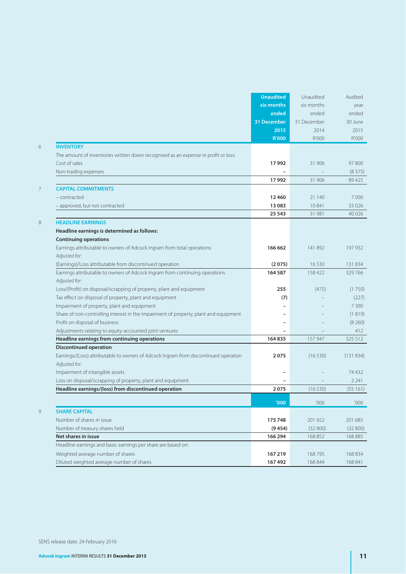|   |                                                                                      | <b>Unaudited</b> | Unaudited   | Audited  |
|---|--------------------------------------------------------------------------------------|------------------|-------------|----------|
|   |                                                                                      | six months       | six months  | year     |
|   |                                                                                      | ended            | ended       | ended    |
|   |                                                                                      | 31 December      | 31 December | 30 June  |
|   |                                                                                      | 2015             | 2014        | 2015     |
|   |                                                                                      | <b>R'000</b>     | R'000       | R'000    |
| 6 | <b>INVENTORY</b>                                                                     |                  |             |          |
|   | The amount of inventories written down recognised as an expense in profit or loss:   |                  |             |          |
|   | Cost of sales                                                                        | 17992            | 31 906      | 97 800   |
|   | Non-trading expenses                                                                 |                  |             | (8375)   |
|   |                                                                                      | 17992            | 31 906      | 89425    |
| 7 | <b>CAPITAL COMMITMENTS</b>                                                           |                  |             |          |
|   | - contracted                                                                         | 12460            | 21 140      | 7000     |
|   | - approved, but not contracted                                                       | 13 083           | 10841       | 33 0 26  |
|   |                                                                                      | 25 543           | 31 981      | 40 0 26  |
| 8 | <b>HEADLINE EARNINGS</b>                                                             |                  |             |          |
|   | Headline earnings is determined as follows:                                          |                  |             |          |
|   | <b>Continuing operations</b>                                                         |                  |             |          |
|   | Earnings attributable to owners of Adcock Ingram from total operations               | 166 662          | 141892      | 197 932  |
|   | Adjusted for:                                                                        |                  |             |          |
|   | (Earnings)/Loss attributable from discontinued operation                             | (2075)           | 16 5 30     | 131834   |
|   | Earnings attributable to owners of Adcock Ingram from continuing operations          | 164 587          | 158 422     | 329 766  |
|   | Adjusted for:                                                                        |                  |             |          |
|   | Loss/(Profit) on disposal/scrapping of property, plant and equipment                 | 255              | (475)       | (1750)   |
|   | Tax effect on disposal of property, plant and equipment                              | (7)              |             | (227)    |
|   | Impairment of property, plant and equipment                                          |                  |             | 7 3 9 0  |
|   | Share of non-controlling interest in the impairment of property, plant and equipment |                  |             | (1819)   |
|   | Profit on disposal of business                                                       |                  |             | (8260)   |
|   | Adjustments relating to equity-accounted joint ventures                              |                  |             | 412      |
|   | Headline earnings from continuing operations                                         | 164835           | 157 947     | 325 512  |
|   | <b>Discontinued operation</b>                                                        |                  |             |          |
|   | Earnings/(Loss) attributable to owners of Adcock Ingram from discontinued operation  | 2075             | (16530)     | (131834) |
|   | Adjusted for:                                                                        |                  |             |          |
|   | Impairment of intangible assets                                                      |                  |             | 74432    |
|   | Loss on disposal/scrapping of property, plant and equipment                          |                  |             | 2 2 4 1  |
|   | Headline earnings/(loss) from discontinued operation                                 | 2075             | (16530)     | (55161)  |
|   |                                                                                      | '000             | '000        | '000     |
| 9 | <b>SHARE CAPITAL</b>                                                                 |                  |             |          |
|   | Number of shares in issue                                                            | 175 748          | 201 652     | 201 685  |
|   | Number of treasury shares held                                                       | (9454)           | (32800)     | (32800)  |
|   | Net shares in issue                                                                  | 166 294          | 168 852     | 168 885  |
|   | Headline earnings and basic earnings per share are based on:                         |                  |             |          |
|   | Weighted average number of shares                                                    | 167 219          | 168795      | 168 834  |
|   | Diluted weighted average number of shares                                            | 167492           | 168 844     | 168 841  |